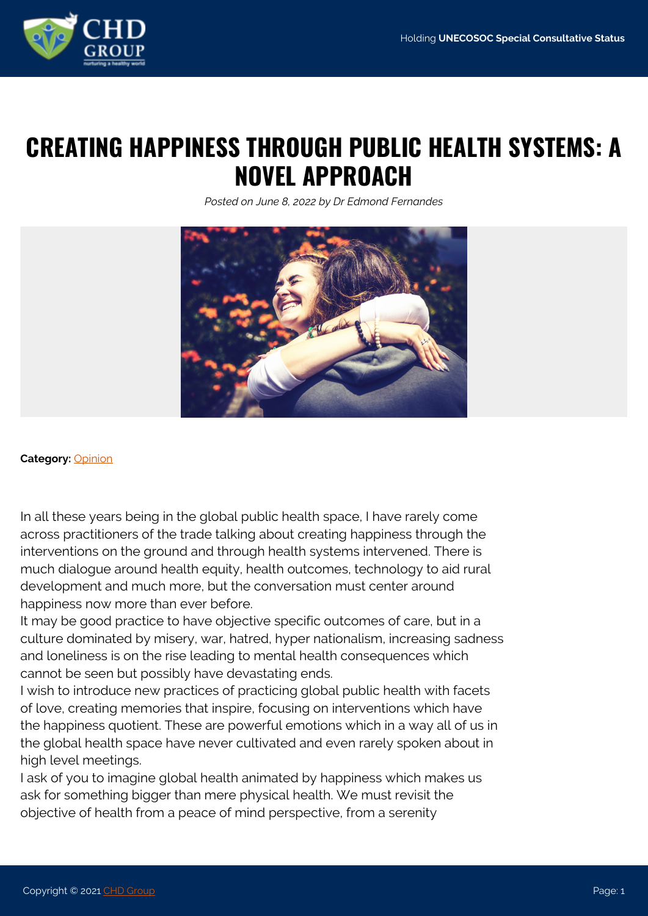

## **CREATING HAPPINESS THROUGH PUBLIC HEALTH SYSTEMS: A NOVEL APPROACH**

*Posted on June 8, 2022 by Dr Edmond Fernandes*



## **Category:** [Opinion](https://www.chdgroup.org/category/opinion/)

In all these years being in the global public health space, I have rarely come across practitioners of the trade talking about creating happiness through the interventions on the ground and through health systems intervened. There is much dialogue around health equity, health outcomes, technology to aid rural development and much more, but the conversation must center around happiness now more than ever before.

It may be good practice to have objective specific outcomes of care, but in a culture dominated by misery, war, hatred, hyper nationalism, increasing sadness and loneliness is on the rise leading to mental health consequences which cannot be seen but possibly have devastating ends.

I wish to introduce new practices of practicing global public health with facets of love, creating memories that inspire, focusing on interventions which have the happiness quotient. These are powerful emotions which in a way all of us in the global health space have never cultivated and even rarely spoken about in high level meetings.

I ask of you to imagine global health animated by happiness which makes us ask for something bigger than mere physical health. We must revisit the objective of health from a peace of mind perspective, from a serenity